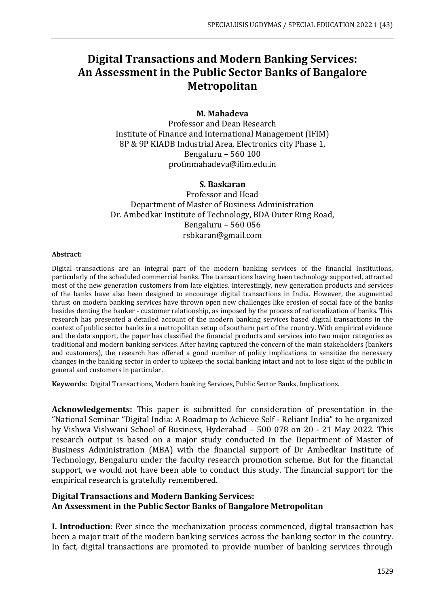# **Digital Transactions and Modern Banking Services: An Assessment in the Public Sector Banks of Bangalore Metropolitan**

## **M. Mahadeva**

Professor and Dean Research Institute of Finance and International Management (IFIM) 8P & 9P KIADB Industrial Area, Electronics city Phase 1, Bengaluru – 560 100 profmmahadeva@ifim.edu.in

### **S. Baskaran**

Professor and Head Department of Master of Business Administration Dr. Ambedkar Institute of Technology, BDA Outer Ring Road, Bengaluru – 560 056 rsbkaran@gmail.com

#### **Abstract:**

Digital transactions are an integral part of the modern banking services of the financial institutions, particularly of the scheduled commercial banks. The transactions having been technology supported, attracted most of the new generation customers from late eighties. Interestingly, new generation products and services of the banks have also been designed to encourage digital transactions in India. However, the augmented thrust on modern banking services have thrown open new challenges like erosion of social face of the banks besides denting the banker - customer relationship, as imposed by the process of nationalization of banks. This research has presented a detailed account of the modern banking services based digital transactions in the context of public sector banks in a metropolitan setup of southern part of the country. With empirical evidence and the data support, the paper has classified the financial products and services into two major categories as traditional and modern banking services. After having captured the concern of the main stakeholders (bankers and customers), the research has offered a good number of policy implications to sensitize the necessary changes in the banking sector in order to upkeep the social banking intact and not to lose sight of the public in general and customers in particular.

**Keywords:** Digital Transactions, Modern banking Services, Public Sector Banks, Implications.

**Acknowledgements:** This paper is submitted for consideration of presentation in the "National Seminar "Digital India: A Roadmap to Achieve Self - Reliant India" to be organized by Vishwa Vishwani School of Business, Hyderabad – 500 078 on 20 - 21 May 2022. This research output is based on a major study conducted in the Department of Master of Business Administration (MBA) with the financial support of Dr Ambedkar Institute of Technology, Bengaluru under the faculty research promotion scheme. But for the financial support, we would not have been able to conduct this study. The financial support for the empirical research is gratefully remembered.

## **Digital Transactions and Modern Banking Services: An Assessment in the Public Sector Banks of Bangalore Metropolitan**

**I. Introduction**: Ever since the mechanization process commenced, digital transaction has been a major trait of the modern banking services across the banking sector in the country. In fact, digital transactions are promoted to provide number of banking services through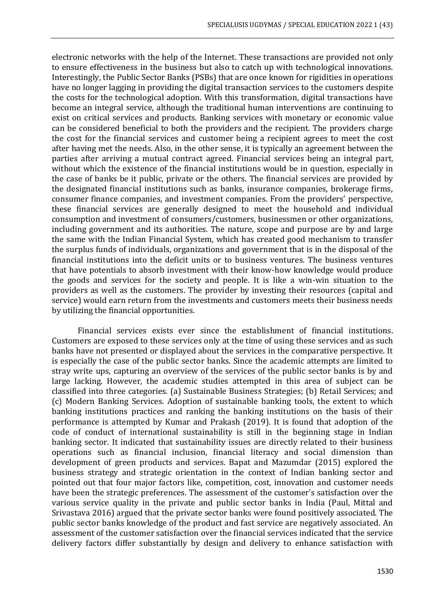electronic networks with the help of the Internet. These transactions are provided not only to ensure effectiveness in the business but also to catch up with technological innovations. Interestingly, the Public Sector Banks (PSBs) that are once known for rigidities in operations have no longer lagging in providing the digital transaction services to the customers despite the costs for the technological adoption. With this transformation, digital transactions have become an integral service, although the traditional human interventions are continuing to exist on critical services and products. Banking services with monetary or economic value can be considered beneficial to both the providers and the recipient. The providers charge the cost for the financial services and customer being a recipient agrees to meet the cost after having met the needs. Also, in the other sense, it is typically an agreement between the parties after arriving a mutual contract agreed. Financial services being an integral part, without which the existence of the financial institutions would be in question, especially in the case of banks be it public, private or the others. The financial services are provided by the designated financial institutions such as banks, insurance companies, brokerage firms, consumer finance companies, and investment companies. From the providers' perspective, these financial services are generally designed to meet the household and individual consumption and investment of consumers/customers, businessmen or other organizations, including government and its authorities. The nature, scope and purpose are by and large the same with the Indian Financial System, which has created good mechanism to transfer the surplus funds of individuals, organizations and government that is in the disposal of the financial institutions into the deficit units or to business ventures. The business ventures that have potentials to absorb investment with their know-how knowledge would produce the goods and services for the society and people. It is like a win-win situation to the providers as well as the customers. The provider by investing their resources (capital and service) would earn return from the investments and customers meets their business needs by utilizing the financial opportunities.

Financial services exists ever since the establishment of financial institutions. Customers are exposed to these services only at the time of using these services and as such banks have not presented or displayed about the services in the comparative perspective. It is especially the case of the public sector banks. Since the academic attempts are limited to stray write ups, capturing an overview of the services of the public sector banks is by and large lacking. However, the academic studies attempted in this area of subject can be classified into three categories. (a) Sustainable Business Strategies; (b) Retail Services; and (c) Modern Banking Services. Adoption of sustainable banking tools, the extent to which banking institutions practices and ranking the banking institutions on the basis of their performance is attempted by Kumar and Prakash (2019). It is found that adoption of the code of conduct of international sustainability is still in the beginning stage in Indian banking sector. It indicated that sustainability issues are directly related to their business operations such as financial inclusion, financial literacy and social dimension than development of green products and services. Bapat and Mazumdar (2015) explored the business strategy and strategic orientation in the context of Indian banking sector and pointed out that four major factors like, competition, cost, innovation and customer needs have been the strategic preferences. The assessment of the customer's satisfaction over the various service quality in the private and public sector banks in India (Paul, Mittal and Srivastava 2016) argued that the private sector banks were found positively associated. The public sector banks knowledge of the product and fast service are negatively associated. An assessment of the customer satisfaction over the financial services indicated that the service delivery factors differ substantially by design and delivery to enhance satisfaction with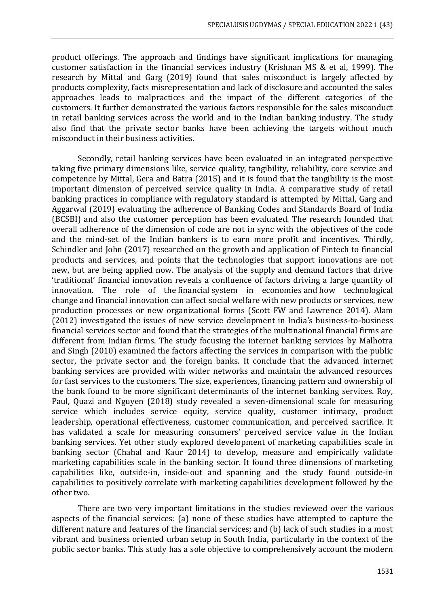product offerings. The approach and findings have significant implications for managing customer satisfaction in the financial services industry (Krishnan MS & et al, 1999). The research by Mittal and Garg (2019) found that sales misconduct is largely affected by products complexity, facts misrepresentation and lack of disclosure and accounted the sales approaches leads to malpractices and the impact of the different categories of the customers. It further demonstrated the various factors responsible for the sales misconduct in retail banking services across the world and in the Indian banking industry. The study also find that the private sector banks have been achieving the targets without much misconduct in their business activities.

Secondly, retail banking services have been evaluated in an integrated perspective taking five primary dimensions like, service quality, tangibility, reliability, core service and competence by Mittal, Gera and Batra (2015) and it is found that the tangibility is the most important dimension of perceived service quality in India. A comparative study of retail banking practices in compliance with regulatory standard is attempted by Mittal, Garg and Aggarwal (2019) evaluating the adherence of Banking Codes and Standards Board of India (BCSBI) and also the customer perception has been evaluated. The research founded that overall adherence of the dimension of code are not in sync with the objectives of the code and the mind-set of the Indian bankers is to earn more profit and incentives. Thirdly, Schindler and John (2017) researched on the growth and application of Fintech to financial products and services, and points that the technologies that support innovations are not new, but are being applied now. The analysis of the supply and demand factors that drive 'traditional' financial innovation reveals a confluence of factors driving a large quantity of innovation. The role of the financial system in economies and how technological change and financial innovation can affect social welfare with new products or services, new production processes or new organizational forms (Scott FW and Lawrence 2014). Alam (2012) investigated the issues of new service development in India's business-to-business financial services sector and found that the strategies of the multinational financial firms are different from Indian firms. The study focusing the internet banking services by Malhotra and Singh (2010) examined the factors affecting the services in comparison with the public sector, the private sector and the foreign banks. It conclude that the advanced internet banking services are provided with wider networks and maintain the advanced resources for fast services to the customers. The size, experiences, financing pattern and ownership of the bank found to be more significant determinants of the internet banking services. Roy, Paul, Quazi and Nguyen (2018) study revealed a seven-dimensional scale for measuring service which includes service equity, service quality, customer intimacy, product leadership, operational effectiveness, customer communication, and perceived sacrifice. It has validated a scale for measuring consumers' perceived service value in the Indian banking services. Yet other study explored development of marketing capabilities scale in banking sector (Chahal and Kaur 2014) to develop, measure and empirically validate marketing capabilities scale in the banking sector. It found three dimensions of marketing capabilities like, outside-in, inside-out and spanning and the study found outside-in capabilities to positively correlate with marketing capabilities development followed by the other two.

There are two very important limitations in the studies reviewed over the various aspects of the financial services: (a) none of these studies have attempted to capture the different nature and features of the financial services; and (b) lack of such studies in a most vibrant and business oriented urban setup in South India, particularly in the context of the public sector banks. This study has a sole objective to comprehensively account the modern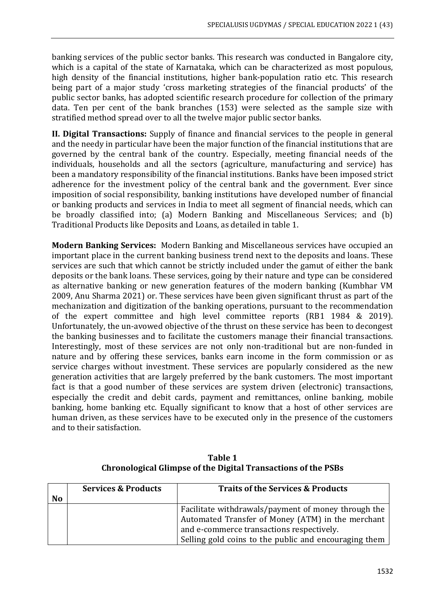banking services of the public sector banks. This research was conducted in Bangalore city, which is a capital of the state of Karnataka, which can be characterized as most populous, high density of the financial institutions, higher bank-population ratio etc. This research being part of a major study 'cross marketing strategies of the financial products' of the public sector banks, has adopted scientific research procedure for collection of the primary data. Ten per cent of the bank branches (153) were selected as the sample size with stratified method spread over to all the twelve major public sector banks.

**II. Digital Transactions:** Supply of finance and financial services to the people in general and the needy in particular have been the major function of the financial institutions that are governed by the central bank of the country. Especially, meeting financial needs of the individuals, households and all the sectors (agriculture, manufacturing and service) has been a mandatory responsibility of the financial institutions. Banks have been imposed strict adherence for the investment policy of the central bank and the government. Ever since imposition of social responsibility, banking institutions have developed number of financial or banking products and services in India to meet all segment of financial needs, which can be broadly classified into; (a) Modern Banking and Miscellaneous Services; and (b) Traditional Products like Deposits and Loans, as detailed in table 1.

**Modern Banking Services:** Modern Banking and Miscellaneous services have occupied an important place in the current banking business trend next to the deposits and loans. These services are such that which cannot be strictly included under the gamut of either the bank deposits or the bank loans. These services, going by their nature and type can be considered as alternative banking or new generation features of the modern banking (Kumbhar VM 2009, Anu Sharma 2021) or. These services have been given significant thrust as part of the mechanization and digitization of the banking operations, pursuant to the recommendation of the expert committee and high level committee reports (RB1 1984 & 2019). Unfortunately, the un-avowed objective of the thrust on these service has been to decongest the banking businesses and to facilitate the customers manage their financial transactions. Interestingly, most of these services are not only non-traditional but are non-funded in nature and by offering these services, banks earn income in the form commission or as service charges without investment. These services are popularly considered as the new generation activities that are largely preferred by the bank customers. The most important fact is that a good number of these services are system driven (electronic) transactions, especially the credit and debit cards, payment and remittances, online banking, mobile banking, home banking etc. Equally significant to know that a host of other services are human driven, as these services have to be executed only in the presence of the customers and to their satisfaction.

**Table 1 Chronological Glimpse of the Digital Transactions of the PSBs**

|           | <b>Services &amp; Products</b> | <b>Traits of the Services &amp; Products</b>          |  |  |
|-----------|--------------------------------|-------------------------------------------------------|--|--|
| <b>No</b> |                                |                                                       |  |  |
|           |                                | Facilitate withdrawals/payment of money through the   |  |  |
|           |                                | Automated Transfer of Money (ATM) in the merchant     |  |  |
|           |                                | and e-commerce transactions respectively.             |  |  |
|           |                                | Selling gold coins to the public and encouraging them |  |  |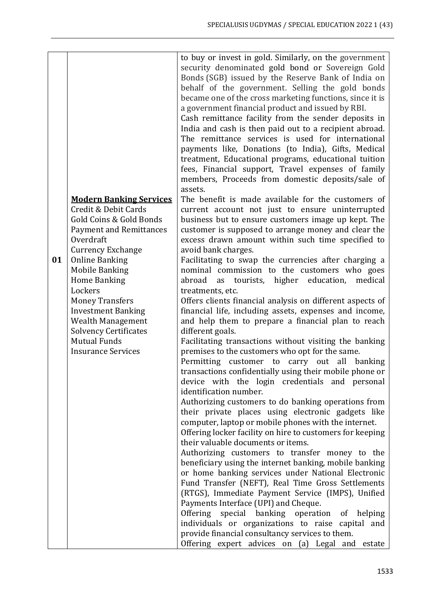|    |                                | to buy or invest in gold. Similarly, on the government    |  |  |  |  |  |
|----|--------------------------------|-----------------------------------------------------------|--|--|--|--|--|
|    |                                | security denominated gold bond or Sovereign Gold          |  |  |  |  |  |
|    |                                | Bonds (SGB) issued by the Reserve Bank of India on        |  |  |  |  |  |
|    |                                | behalf of the government. Selling the gold bonds          |  |  |  |  |  |
|    |                                | became one of the cross marketing functions, since it is  |  |  |  |  |  |
|    |                                | a government financial product and issued by RBI.         |  |  |  |  |  |
|    |                                | Cash remittance facility from the sender deposits in      |  |  |  |  |  |
|    |                                | India and cash is then paid out to a recipient abroad.    |  |  |  |  |  |
|    |                                | The remittance services is used for international         |  |  |  |  |  |
|    |                                | payments like, Donations (to India), Gifts, Medical       |  |  |  |  |  |
|    |                                | treatment, Educational programs, educational tuition      |  |  |  |  |  |
|    |                                | fees, Financial support, Travel expenses of family        |  |  |  |  |  |
|    |                                |                                                           |  |  |  |  |  |
|    |                                | members, Proceeds from domestic deposits/sale of          |  |  |  |  |  |
|    |                                | assets.                                                   |  |  |  |  |  |
|    | <b>Modern Banking Services</b> | The benefit is made available for the customers of        |  |  |  |  |  |
|    | Credit & Debit Cards           | current account not just to ensure uninterrupted          |  |  |  |  |  |
|    | Gold Coins & Gold Bonds        | business but to ensure customers image up kept. The       |  |  |  |  |  |
|    | <b>Payment and Remittances</b> | customer is supposed to arrange money and clear the       |  |  |  |  |  |
|    | Overdraft                      | excess drawn amount within such time specified to         |  |  |  |  |  |
|    | <b>Currency Exchange</b>       | avoid bank charges.                                       |  |  |  |  |  |
| 01 | <b>Online Banking</b>          | Facilitating to swap the currencies after charging a      |  |  |  |  |  |
|    | <b>Mobile Banking</b>          | nominal commission to the customers who goes              |  |  |  |  |  |
|    | <b>Home Banking</b>            | abroad<br>education,<br>tourists, higher<br>medical<br>as |  |  |  |  |  |
|    | Lockers                        | treatments, etc.                                          |  |  |  |  |  |
|    | <b>Money Transfers</b>         | Offers clients financial analysis on different aspects of |  |  |  |  |  |
|    | <b>Investment Banking</b>      | financial life, including assets, expenses and income,    |  |  |  |  |  |
|    | <b>Wealth Management</b>       | and help them to prepare a financial plan to reach        |  |  |  |  |  |
|    | <b>Solvency Certificates</b>   | different goals.                                          |  |  |  |  |  |
|    | <b>Mutual Funds</b>            | Facilitating transactions without visiting the banking    |  |  |  |  |  |
|    | <b>Insurance Services</b>      | premises to the customers who opt for the same.           |  |  |  |  |  |
|    |                                | Permitting<br>customer to carry out<br>all<br>banking     |  |  |  |  |  |
|    |                                | transactions confidentially using their mobile phone or   |  |  |  |  |  |
|    |                                | device with the login credentials and personal            |  |  |  |  |  |
|    |                                | identification number.                                    |  |  |  |  |  |
|    |                                | Authorizing customers to do banking operations from       |  |  |  |  |  |
|    |                                | their private places using electronic gadgets like        |  |  |  |  |  |
|    |                                | computer, laptop or mobile phones with the internet.      |  |  |  |  |  |
|    |                                | Offering locker facility on hire to customers for keeping |  |  |  |  |  |
|    |                                | their valuable documents or items.                        |  |  |  |  |  |
|    |                                | Authorizing customers to transfer money to the            |  |  |  |  |  |
|    |                                | beneficiary using the internet banking, mobile banking    |  |  |  |  |  |
|    |                                | or home banking services under National Electronic        |  |  |  |  |  |
|    |                                | Fund Transfer (NEFT), Real Time Gross Settlements         |  |  |  |  |  |
|    |                                | (RTGS), Immediate Payment Service (IMPS), Unified         |  |  |  |  |  |
|    |                                | Payments Interface (UPI) and Cheque.                      |  |  |  |  |  |
|    |                                | Offering special banking operation of helping             |  |  |  |  |  |
|    |                                | individuals or organizations to raise capital and         |  |  |  |  |  |
|    |                                | provide financial consultancy services to them.           |  |  |  |  |  |
|    |                                | Offering expert advices on (a) Legal and estate           |  |  |  |  |  |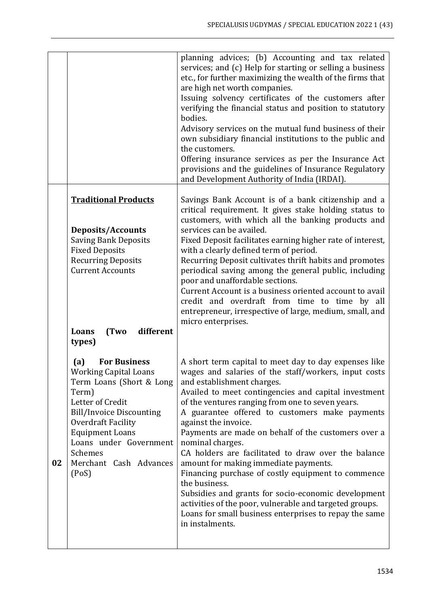|    |                                                                                                                                                                                                                                                                                       | planning advices; (b) Accounting and tax related<br>services; and (c) Help for starting or selling a business<br>etc., for further maximizing the wealth of the firms that<br>are high net worth companies.<br>Issuing solvency certificates of the customers after<br>verifying the financial status and position to statutory<br>bodies.<br>Advisory services on the mutual fund business of their<br>own subsidiary financial institutions to the public and<br>the customers.<br>Offering insurance services as per the Insurance Act<br>provisions and the guidelines of Insurance Regulatory<br>and Development Authority of India (IRDAI).                                                                                                                                  |
|----|---------------------------------------------------------------------------------------------------------------------------------------------------------------------------------------------------------------------------------------------------------------------------------------|------------------------------------------------------------------------------------------------------------------------------------------------------------------------------------------------------------------------------------------------------------------------------------------------------------------------------------------------------------------------------------------------------------------------------------------------------------------------------------------------------------------------------------------------------------------------------------------------------------------------------------------------------------------------------------------------------------------------------------------------------------------------------------|
|    | <b>Traditional Products</b><br><b>Deposits/Accounts</b><br><b>Saving Bank Deposits</b><br><b>Fixed Deposits</b><br><b>Recurring Deposits</b><br><b>Current Accounts</b><br>different<br>Loans<br>(Two<br>types)                                                                       | Savings Bank Account is of a bank citizenship and a<br>critical requirement. It gives stake holding status to<br>customers, with which all the banking products and<br>services can be availed.<br>Fixed Deposit facilitates earning higher rate of interest,<br>with a clearly defined term of period.<br>Recurring Deposit cultivates thrift habits and promotes<br>periodical saving among the general public, including<br>poor and unaffordable sections.<br>Current Account is a business oriented account to avail<br>credit and overdraft from time to time by all<br>entrepreneur, irrespective of large, medium, small, and<br>micro enterprises.                                                                                                                        |
| 02 | <b>For Business</b><br>(a)<br><b>Working Capital Loans</b><br>Term Loans (Short & Long<br>Term)<br>Letter of Credit<br><b>Bill/Invoice Discounting</b><br><b>Overdraft Facility</b><br><b>Equipment Loans</b><br>Loans under Government<br>Schemes<br>Merchant Cash Advances<br>(Pos) | A short term capital to meet day to day expenses like<br>wages and salaries of the staff/workers, input costs<br>and establishment charges.<br>Availed to meet contingencies and capital investment<br>of the ventures ranging from one to seven years.<br>A guarantee offered to customers make payments<br>against the invoice.<br>Payments are made on behalf of the customers over a<br>nominal charges.<br>CA holders are facilitated to draw over the balance<br>amount for making immediate payments.<br>Financing purchase of costly equipment to commence<br>the business.<br>Subsidies and grants for socio-economic development<br>activities of the poor, vulnerable and targeted groups.<br>Loans for small business enterprises to repay the same<br>in instalments. |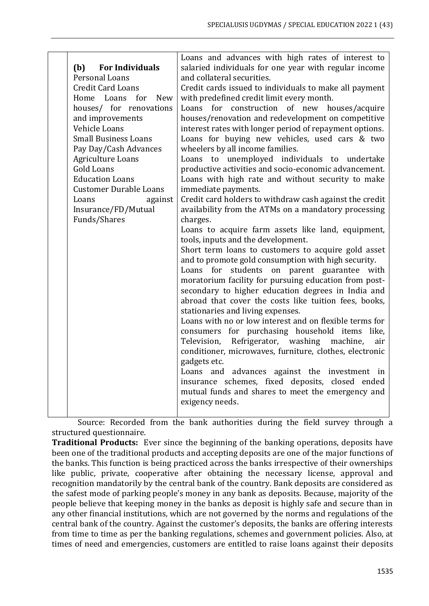|                               | Loans and advances with high rates of interest to                    |  |  |  |  |
|-------------------------------|----------------------------------------------------------------------|--|--|--|--|
| (b) For Individuals           | salaried individuals for one year with regular income                |  |  |  |  |
| Personal Loans                | and collateral securities.                                           |  |  |  |  |
| <b>Credit Card Loans</b>      | Credit cards issued to individuals to make all payment               |  |  |  |  |
| Home Loans for New            | with predefined credit limit every month.                            |  |  |  |  |
| houses/ for renovations       | Loans for construction of new houses/acquire                         |  |  |  |  |
| and improvements              | houses/renovation and redevelopment on competitive                   |  |  |  |  |
| Vehicle Loans                 | interest rates with longer period of repayment options.              |  |  |  |  |
| <b>Small Business Loans</b>   | Loans for buying new vehicles, used cars & two                       |  |  |  |  |
| Pay Day/Cash Advances         | wheelers by all income families.                                     |  |  |  |  |
| Agriculture Loans             | Loans to unemployed individuals to undertake                         |  |  |  |  |
| <b>Gold Loans</b>             | productive activities and socio-economic advancement.                |  |  |  |  |
| <b>Education Loans</b>        | Loans with high rate and without security to make                    |  |  |  |  |
| <b>Customer Durable Loans</b> | immediate payments.                                                  |  |  |  |  |
| Loans<br>against              | Credit card holders to withdraw cash against the credit              |  |  |  |  |
| Insurance/FD/Mutual           | availability from the ATMs on a mandatory processing                 |  |  |  |  |
| Funds/Shares                  | charges.                                                             |  |  |  |  |
|                               | Loans to acquire farm assets like land, equipment,                   |  |  |  |  |
|                               | tools, inputs and the development.                                   |  |  |  |  |
|                               | Short term loans to customers to acquire gold asset                  |  |  |  |  |
|                               | and to promote gold consumption with high security.                  |  |  |  |  |
|                               | Loans for students on parent guarantee with                          |  |  |  |  |
|                               | moratorium facility for pursuing education from post-                |  |  |  |  |
|                               | secondary to higher education degrees in India and                   |  |  |  |  |
|                               | abroad that cover the costs like tuition fees, books,                |  |  |  |  |
|                               | stationaries and living expenses.                                    |  |  |  |  |
|                               | Loans with no or low interest and on flexible terms for              |  |  |  |  |
|                               | consumers for purchasing household items like,                       |  |  |  |  |
|                               | Television, Refrigerator, washing machine,<br>air                    |  |  |  |  |
|                               | conditioner, microwaves, furniture, clothes, electronic              |  |  |  |  |
|                               | gadgets etc.                                                         |  |  |  |  |
|                               | Loans and advances against the investment in                         |  |  |  |  |
|                               | insurance schemes, fixed deposits, closed ended                      |  |  |  |  |
|                               | mutual funds and shares to meet the emergency and<br>exigency needs. |  |  |  |  |
|                               |                                                                      |  |  |  |  |
|                               |                                                                      |  |  |  |  |

Source: Recorded from the bank authorities during the field survey through a structured questionnaire.

**Traditional Products:** Ever since the beginning of the banking operations, deposits have been one of the traditional products and accepting deposits are one of the major functions of the banks. This function is being practiced across the banks irrespective of their ownerships like public, private, cooperative after obtaining the necessary license, approval and recognition mandatorily by the central bank of the country. Bank deposits are considered as the safest mode of parking people's money in any bank as deposits. Because, majority of the people believe that keeping money in the banks as deposit is highly safe and secure than in any other financial institutions, which are not governed by the norms and regulations of the central bank of the country. Against the customer's deposits, the banks are offering interests from time to time as per the banking regulations, schemes and government policies. Also, at times of need and emergencies, customers are entitled to raise loans against their deposits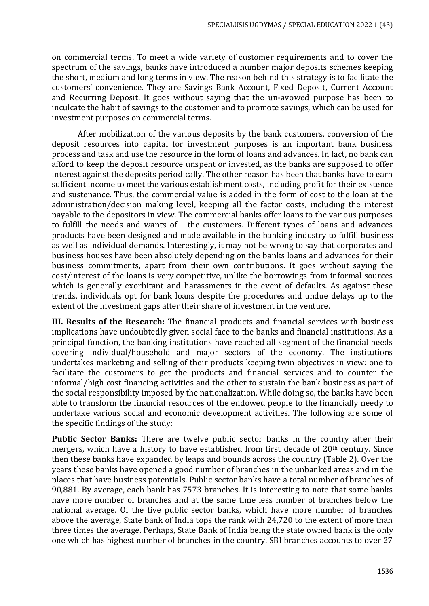on commercial terms. To meet a wide variety of customer requirements and to cover the spectrum of the savings, banks have introduced a number major deposits schemes keeping the short, medium and long terms in view. The reason behind this strategy is to facilitate the customers' convenience. They are Savings Bank Account, Fixed Deposit, Current Account and Recurring Deposit. It goes without saying that the un-avowed purpose has been to inculcate the habit of savings to the customer and to promote savings, which can be used for investment purposes on commercial terms.

After mobilization of the various deposits by the bank customers, conversion of the deposit resources into capital for investment purposes is an important bank business process and task and use the resource in the form of loans and advances. In fact, no bank can afford to keep the deposit resource unspent or invested, as the banks are supposed to offer interest against the deposits periodically. The other reason has been that banks have to earn sufficient income to meet the various establishment costs, including profit for their existence and sustenance. Thus, the commercial value is added in the form of cost to the loan at the administration/decision making level, keeping all the factor costs, including the interest payable to the depositors in view. The commercial banks offer loans to the various purposes to fulfill the needs and wants of the customers. Different types of loans and advances products have been designed and made available in the banking industry to fulfill business as well as individual demands. Interestingly, it may not be wrong to say that corporates and business houses have been absolutely depending on the banks loans and advances for their business commitments, apart from their own contributions. It goes without saying the cost/interest of the loans is very competitive, unlike the borrowings from informal sources which is generally exorbitant and harassments in the event of defaults. As against these trends, individuals opt for bank loans despite the procedures and undue delays up to the extent of the investment gaps after their share of investment in the venture.

**III. Results of the Research:** The financial products and financial services with business implications have undoubtedly given social face to the banks and financial institutions. As a principal function, the banking institutions have reached all segment of the financial needs covering individual/household and major sectors of the economy. The institutions undertakes marketing and selling of their products keeping twin objectives in view: one to facilitate the customers to get the products and financial services and to counter the informal/high cost financing activities and the other to sustain the bank business as part of the social responsibility imposed by the nationalization. While doing so, the banks have been able to transform the financial resources of the endowed people to the financially needy to undertake various social and economic development activities. The following are some of the specific findings of the study:

**Public Sector Banks:** There are twelve public sector banks in the country after their mergers, which have a history to have established from first decade of 20<sup>th</sup> century. Since then these banks have expanded by leaps and bounds across the country (Table 2). Over the years these banks have opened a good number of branches in the unbanked areas and in the places that have business potentials. Public sector banks have a total number of branches of 90,881. By average, each bank has 7573 branches. It is interesting to note that some banks have more number of branches and at the same time less number of branches below the national average. Of the five public sector banks, which have more number of branches above the average, State bank of India tops the rank with 24,720 to the extent of more than three times the average. Perhaps, State Bank of India being the state owned bank is the only one which has highest number of branches in the country. SBI branches accounts to over 27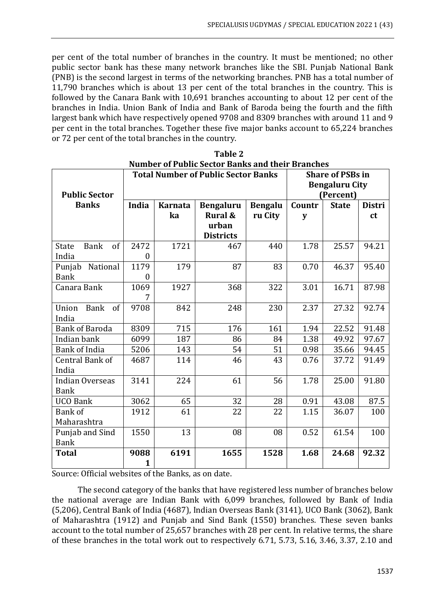per cent of the total number of branches in the country. It must be mentioned; no other public sector bank has these many network branches like the SBI. Punjab National Bank (PNB) is the second largest in terms of the networking branches. PNB has a total number of 11,790 branches which is about 13 per cent of the total branches in the country. This is followed by the Canara Bank with 10,691 branches accounting to about 12 per cent of the branches in India. Union Bank of India and Bank of Baroda being the fourth and the fifth largest bank which have respectively opened 9708 and 8309 branches with around 11 and 9 per cent in the total branches. Together these five major banks account to 65,224 branches or 72 per cent of the total branches in the country.

|                                   | <b>Total Number of Public Sector Banks</b> |                |                    |                | <b>Share of PSBs in</b> |                       |               |
|-----------------------------------|--------------------------------------------|----------------|--------------------|----------------|-------------------------|-----------------------|---------------|
|                                   |                                            |                |                    |                |                         | <b>Bengaluru City</b> |               |
| <b>Public Sector</b>              |                                            |                |                    | (Percent)      |                         |                       |               |
| <b>Banks</b>                      | <b>India</b>                               | <b>Karnata</b> | <b>Bengaluru</b>   | <b>Bengalu</b> | Countr                  | <b>State</b>          | <b>Distri</b> |
|                                   |                                            | ka             | <b>Rural &amp;</b> | ru City        | y                       |                       | <sub>ct</sub> |
|                                   |                                            |                | urban              |                |                         |                       |               |
|                                   |                                            |                | <b>Districts</b>   |                |                         |                       |               |
| <b>Bank</b><br>of<br><b>State</b> | 2472                                       | 1721           | 467                | 440            | 1.78                    | 25.57                 | 94.21         |
| India                             | 0                                          |                |                    |                |                         |                       |               |
| National<br>Punjab                | 1179                                       | 179            | 87                 | 83             | 0.70                    | 46.37                 | 95.40         |
| <b>Bank</b>                       | $\overline{0}$                             |                |                    |                |                         |                       |               |
| Canara Bank                       | 1069                                       | 1927           | 368                | 322            | 3.01                    | 16.71                 | 87.98         |
|                                   |                                            |                |                    |                |                         |                       |               |
| Union<br><b>Bank</b><br>of        | 9708                                       | 842            | 248                | 230            | 2.37                    | 27.32                 | 92.74         |
| India                             |                                            |                |                    |                |                         |                       |               |
| <b>Bank of Baroda</b>             | 8309                                       | 715            | 176                | 161            | 1.94                    | 22.52                 | 91.48         |
| Indian bank                       | 6099                                       | 187            | 86                 | 84             | 1.38                    | 49.92                 | 97.67         |
| <b>Bank of India</b>              | 5206                                       | 143            | 54                 | 51             | 0.98                    | 35.66                 | 94.45         |
| Central Bank of                   | 4687                                       | 114            | 46                 | 43             | 0.76                    | 37.72                 | 91.49         |
| India                             |                                            |                |                    |                |                         |                       |               |
| <b>Indian Overseas</b>            | 3141                                       | 224            | 61                 | 56             | 1.78                    | 25.00                 | 91.80         |
| <b>Bank</b>                       |                                            |                |                    |                |                         |                       |               |
| <b>UCO Bank</b>                   | 3062                                       | 65             | 32                 | 28             | 0.91                    | 43.08                 | 87.5          |
| Bank of                           | 1912                                       | 61             | 22                 | 22             | 1.15                    | 36.07                 | 100           |
| Maharashtra                       |                                            |                |                    |                |                         |                       |               |
| Punjab and Sind                   | 1550                                       | 13             | 08                 | 08             | 0.52                    | 61.54                 | 100           |
| <b>Bank</b>                       |                                            |                |                    |                |                         |                       |               |
| <b>Total</b>                      | 9088                                       | 6191           | 1655               | 1528           | 1.68                    | 24.68                 | 92.32         |
|                                   | $\mathbf{1}$                               |                |                    |                |                         |                       |               |

**Table 2 Number of Public Sector Banks and their Branches**

Source: Official websites of the Banks, as on date.

The second category of the banks that have registered less number of branches below the national average are Indian Bank with 6,099 branches, followed by Bank of India (5,206), Central Bank of India (4687), Indian Overseas Bank (3141), UCO Bank (3062), Bank of Maharashtra (1912) and Punjab and Sind Bank (1550) branches. These seven banks account to the total number of 25,657 branches with 28 per cent. In relative terms, the share of these branches in the total work out to respectively 6.71, 5.73, 5.16, 3.46, 3.37, 2.10 and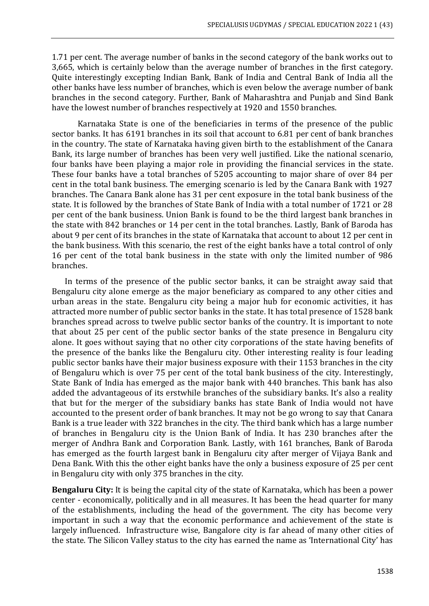1.71 per cent. The average number of banks in the second category of the bank works out to 3,665, which is certainly below than the average number of branches in the first category. Quite interestingly excepting Indian Bank, Bank of India and Central Bank of India all the other banks have less number of branches, which is even below the average number of bank branches in the second category. Further, Bank of Maharashtra and Punjab and Sind Bank have the lowest number of branches respectively at 1920 and 1550 branches.

Karnataka State is one of the beneficiaries in terms of the presence of the public sector banks. It has 6191 branches in its soil that account to 6.81 per cent of bank branches in the country. The state of Karnataka having given birth to the establishment of the Canara Bank, its large number of branches has been very well justified. Like the national scenario, four banks have been playing a major role in providing the financial services in the state. These four banks have a total branches of 5205 accounting to major share of over 84 per cent in the total bank business. The emerging scenario is led by the Canara Bank with 1927 branches. The Canara Bank alone has 31 per cent exposure in the total bank business of the state. It is followed by the branches of State Bank of India with a total number of 1721 or 28 per cent of the bank business. Union Bank is found to be the third largest bank branches in the state with 842 branches or 14 per cent in the total branches. Lastly, Bank of Baroda has about 9 per cent of its branches in the state of Karnataka that account to about 12 per cent in the bank business. With this scenario, the rest of the eight banks have a total control of only 16 per cent of the total bank business in the state with only the limited number of 986 branches.

In terms of the presence of the public sector banks, it can be straight away said that Bengaluru city alone emerge as the major beneficiary as compared to any other cities and urban areas in the state. Bengaluru city being a major hub for economic activities, it has attracted more number of public sector banks in the state. It has total presence of 1528 bank branches spread across to twelve public sector banks of the country. It is important to note that about 25 per cent of the public sector banks of the state presence in Bengaluru city alone. It goes without saying that no other city corporations of the state having benefits of the presence of the banks like the Bengaluru city. Other interesting reality is four leading public sector banks have their major business exposure with their 1153 branches in the city of Bengaluru which is over 75 per cent of the total bank business of the city. Interestingly, State Bank of India has emerged as the major bank with 440 branches. This bank has also added the advantageous of its erstwhile branches of the subsidiary banks. It's also a reality that but for the merger of the subsidiary banks has state Bank of India would not have accounted to the present order of bank branches. It may not be go wrong to say that Canara Bank is a true leader with 322 branches in the city. The third bank which has a large number of branches in Bengaluru city is the Union Bank of India. It has 230 branches after the merger of Andhra Bank and Corporation Bank. Lastly, with 161 branches, Bank of Baroda has emerged as the fourth largest bank in Bengaluru city after merger of Vijaya Bank and Dena Bank. With this the other eight banks have the only a business exposure of 25 per cent in Bengaluru city with only 375 branches in the city.

**Bengaluru City:** It is being the capital city of the state of Karnataka, which has been a power center - economically, politically and in all measures. It has been the head quarter for many of the establishments, including the head of the government. The city has become very important in such a way that the economic performance and achievement of the state is largely influenced. Infrastructure wise, Bangalore city is far ahead of many other cities of the state. The Silicon Valley status to the city has earned the name as 'International City' has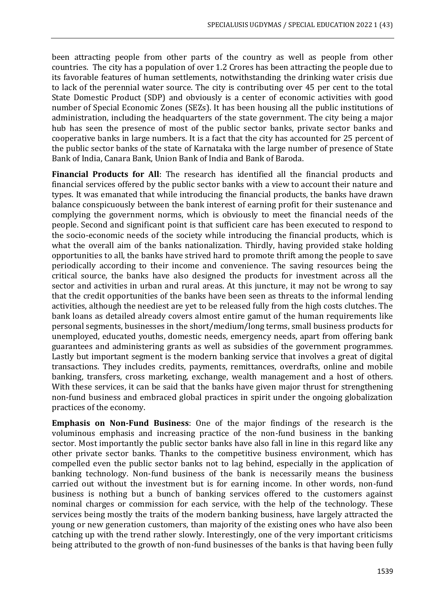been attracting people from other parts of the country as well as people from other countries. The city has a population of over 1.2 Crores has been attracting the people due to its favorable features of human settlements, notwithstanding the drinking water crisis due to lack of the perennial water source. The city is contributing over 45 per cent to the total State Domestic Product (SDP) and obviously is a center of economic activities with good number of Special Economic Zones (SEZs). It has been housing all the public institutions of administration, including the headquarters of the state government. The city being a major hub has seen the presence of most of the public sector banks, private sector banks and cooperative banks in large numbers. It is a fact that the city has accounted for 25 percent of the public sector banks of the state of Karnataka with the large number of presence of State Bank of India, Canara Bank, Union Bank of India and Bank of Baroda.

**Financial Products for All**: The research has identified all the financial products and financial services offered by the public sector banks with a view to account their nature and types. It was emanated that while introducing the financial products, the banks have drawn balance conspicuously between the bank interest of earning profit for their sustenance and complying the government norms, which is obviously to meet the financial needs of the people. Second and significant point is that sufficient care has been executed to respond to the socio-economic needs of the society while introducing the financial products, which is what the overall aim of the banks nationalization. Thirdly, having provided stake holding opportunities to all, the banks have strived hard to promote thrift among the people to save periodically according to their income and convenience. The saving resources being the critical source, the banks have also designed the products for investment across all the sector and activities in urban and rural areas. At this juncture, it may not be wrong to say that the credit opportunities of the banks have been seen as threats to the informal lending activities, although the neediest are yet to be released fully from the high costs clutches. The bank loans as detailed already covers almost entire gamut of the human requirements like personal segments, businesses in the short/medium/long terms, small business products for unemployed, educated youths, domestic needs, emergency needs, apart from offering bank guarantees and administering grants as well as subsidies of the government programmes. Lastly but important segment is the modern banking service that involves a great of digital transactions. They includes credits, payments, remittances, overdrafts, online and mobile banking, transfers, cross marketing, exchange, wealth management and a host of others. With these services, it can be said that the banks have given major thrust for strengthening non-fund business and embraced global practices in spirit under the ongoing globalization practices of the economy.

**Emphasis on Non-Fund Business**: One of the major findings of the research is the voluminous emphasis and increasing practice of the non-fund business in the banking sector. Most importantly the public sector banks have also fall in line in this regard like any other private sector banks. Thanks to the competitive business environment, which has compelled even the public sector banks not to lag behind, especially in the application of banking technology. Non-fund business of the bank is necessarily means the business carried out without the investment but is for earning income. In other words, non-fund business is nothing but a bunch of banking services offered to the customers against nominal charges or commission for each service, with the help of the technology. These services being mostly the traits of the modern banking business, have largely attracted the young or new generation customers, than majority of the existing ones who have also been catching up with the trend rather slowly. Interestingly, one of the very important criticisms being attributed to the growth of non-fund businesses of the banks is that having been fully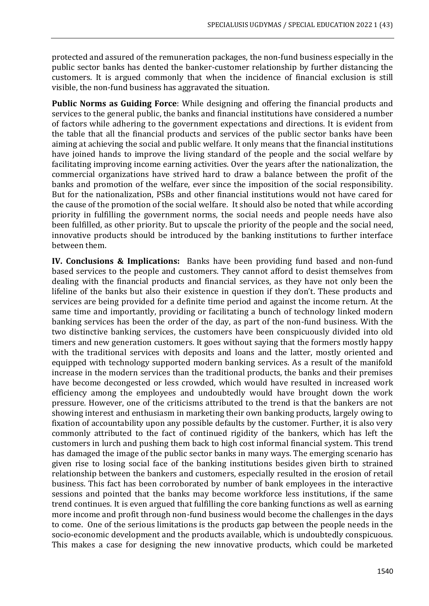protected and assured of the remuneration packages, the non-fund business especially in the public sector banks has dented the banker-customer relationship by further distancing the customers. It is argued commonly that when the incidence of financial exclusion is still visible, the non-fund business has aggravated the situation.

**Public Norms as Guiding Force**: While designing and offering the financial products and services to the general public, the banks and financial institutions have considered a number of factors while adhering to the government expectations and directions. It is evident from the table that all the financial products and services of the public sector banks have been aiming at achieving the social and public welfare. It only means that the financial institutions have joined hands to improve the living standard of the people and the social welfare by facilitating improving income earning activities. Over the years after the nationalization, the commercial organizations have strived hard to draw a balance between the profit of the banks and promotion of the welfare, ever since the imposition of the social responsibility. But for the nationalization, PSBs and other financial institutions would not have cared for the cause of the promotion of the social welfare. It should also be noted that while according priority in fulfilling the government norms, the social needs and people needs have also been fulfilled, as other priority. But to upscale the priority of the people and the social need, innovative products should be introduced by the banking institutions to further interface between them.

**IV. Conclusions & Implications:** Banks have been providing fund based and non-fund based services to the people and customers. They cannot afford to desist themselves from dealing with the financial products and financial services, as they have not only been the lifeline of the banks but also their existence in question if they don't. These products and services are being provided for a definite time period and against the income return. At the same time and importantly, providing or facilitating a bunch of technology linked modern banking services has been the order of the day, as part of the non-fund business. With the two distinctive banking services, the customers have been conspicuously divided into old timers and new generation customers. It goes without saying that the formers mostly happy with the traditional services with deposits and loans and the latter, mostly oriented and equipped with technology supported modern banking services. As a result of the manifold increase in the modern services than the traditional products, the banks and their premises have become decongested or less crowded, which would have resulted in increased work efficiency among the employees and undoubtedly would have brought down the work pressure. However, one of the criticisms attributed to the trend is that the bankers are not showing interest and enthusiasm in marketing their own banking products, largely owing to fixation of accountability upon any possible defaults by the customer. Further, it is also very commonly attributed to the fact of continued rigidity of the bankers, which has left the customers in lurch and pushing them back to high cost informal financial system. This trend has damaged the image of the public sector banks in many ways. The emerging scenario has given rise to losing social face of the banking institutions besides given birth to strained relationship between the bankers and customers, especially resulted in the erosion of retail business. This fact has been corroborated by number of bank employees in the interactive sessions and pointed that the banks may become workforce less institutions, if the same trend continues. It is even argued that fulfilling the core banking functions as well as earning more income and profit through non-fund business would become the challenges in the days to come. One of the serious limitations is the products gap between the people needs in the socio-economic development and the products available, which is undoubtedly conspicuous. This makes a case for designing the new innovative products, which could be marketed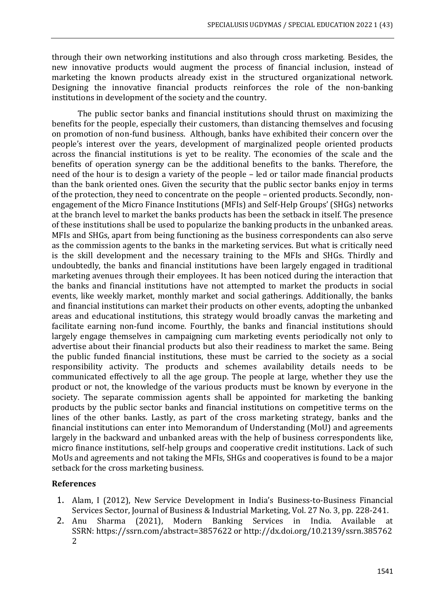through their own networking institutions and also through cross marketing. Besides, the new innovative products would augment the process of financial inclusion, instead of marketing the known products already exist in the structured organizational network. Designing the innovative financial products reinforces the role of the non-banking institutions in development of the society and the country.

The public sector banks and financial institutions should thrust on maximizing the benefits for the people, especially their customers, than distancing themselves and focusing on promotion of non-fund business. Although, banks have exhibited their concern over the people's interest over the years, development of marginalized people oriented products across the financial institutions is yet to be reality. The economies of the scale and the benefits of operation synergy can be the additional benefits to the banks. Therefore, the need of the hour is to design a variety of the people – led or tailor made financial products than the bank oriented ones. Given the security that the public sector banks enjoy in terms of the protection, they need to concentrate on the people – oriented products. Secondly, nonengagement of the Micro Finance Institutions (MFIs) and Self-Help Groups' (SHGs) networks at the branch level to market the banks products has been the setback in itself. The presence of these institutions shall be used to popularize the banking products in the unbanked areas. MFIs and SHGs, apart from being functioning as the business correspondents can also serve as the commission agents to the banks in the marketing services. But what is critically need is the skill development and the necessary training to the MFIs and SHGs. Thirdly and undoubtedly, the banks and financial institutions have been largely engaged in traditional marketing avenues through their employees. It has been noticed during the interaction that the banks and financial institutions have not attempted to market the products in social events, like weekly market, monthly market and social gatherings. Additionally, the banks and financial institutions can market their products on other events, adopting the unbanked areas and educational institutions, this strategy would broadly canvas the marketing and facilitate earning non-fund income. Fourthly, the banks and financial institutions should largely engage themselves in campaigning cum marketing events periodically not only to advertise about their financial products but also their readiness to market the same. Being the public funded financial institutions, these must be carried to the society as a social responsibility activity. The products and schemes availability details needs to be communicated effectively to all the age group. The people at large, whether they use the product or not, the knowledge of the various products must be known by everyone in the society. The separate commission agents shall be appointed for marketing the banking products by the public sector banks and financial institutions on competitive terms on the lines of the other banks. Lastly, as part of the cross marketing strategy, banks and the financial institutions can enter into Memorandum of Understanding (MoU) and agreements largely in the backward and unbanked areas with the help of business correspondents like, micro finance institutions, self-help groups and cooperative credit institutions. Lack of such MoUs and agreements and not taking the MFIs, SHGs and cooperatives is found to be a major setback for the cross marketing business.

## **References**

- 1. Alam, I (2012), New Service Development in India's Business‐to‐Business Financial Services Sector, Journal of Business & Industrial Marketing, Vol. 27 No. 3, pp. 228-241.
- 2. Anu Sharma (2021), Modern Banking Services in India. Available at SSRN: https://ssrn.com/abstract=3857622 or http://dx.doi.org/10.2139/ssrn.385762 2